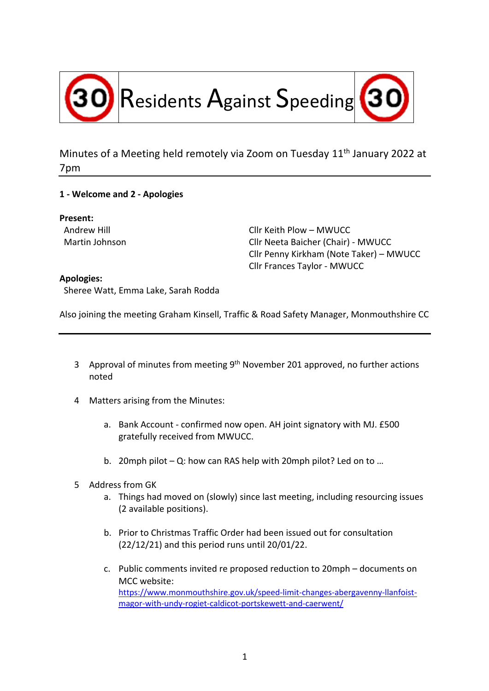

Minutes of a Meeting held remotely via Zoom on Tuesday 11<sup>th</sup> January 2022 at 7pm

## **1 - Welcome and 2 - Apologies**

**Present:**

Andrew Hill Cllr Keith Plow – MWUCC Martin Johnson Cllr Neeta Baicher (Chair) - MWUCC Cllr Penny Kirkham (Note Taker) – MWUCC Cllr Frances Taylor - MWUCC

## **Apologies:**

Sheree Watt, Emma Lake, Sarah Rodda

Also joining the meeting Graham Kinsell, Traffic & Road Safety Manager, Monmouthshire CC

- 3 Approval of minutes from meeting 9<sup>th</sup> November 201 approved, no further actions noted
- 4 Matters arising from the Minutes:
	- a. Bank Account confirmed now open. AH joint signatory with MJ. £500 gratefully received from MWUCC.
	- b. 20mph pilot Q: how can RAS help with 20mph pilot? Led on to …
- 5 Address from GK
	- a. Things had moved on (slowly) since last meeting, including resourcing issues (2 available positions).
	- b. Prior to Christmas Traffic Order had been issued out for consultation (22/12/21) and this period runs until 20/01/22.
	- c. Public comments invited re proposed reduction to 20mph documents on MCC website: https://www.monmouthshire.gov.uk/speed-limit-changes-abergavenny-llanfoistmagor-with-undy-rogiet-caldicot-portskewett-and-caerwent/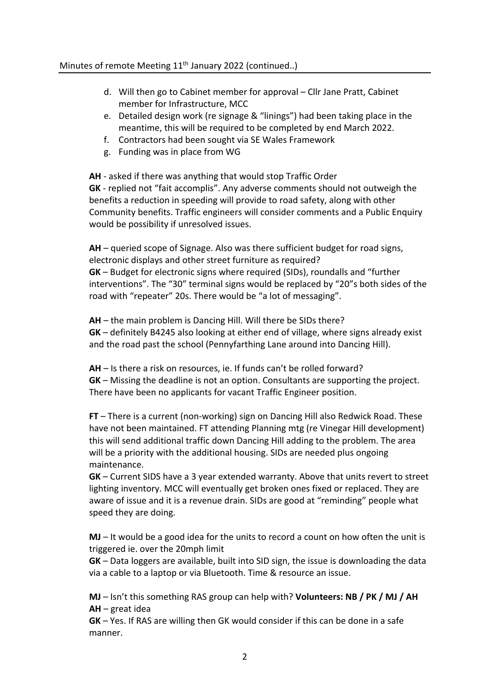## Minutes of remote Meeting 11<sup>th</sup> January 2022 (continued..)

- d. Will then go to Cabinet member for approval Cllr Jane Pratt, Cabinet member for Infrastructure, MCC
- e. Detailed design work (re signage & "linings") had been taking place in the meantime, this will be required to be completed by end March 2022.
- f. Contractors had been sought via SE Wales Framework
- g. Funding was in place from WG

**AH** - asked if there was anything that would stop Traffic Order **GK** - replied not "fait accomplis". Any adverse comments should not outweigh the benefits a reduction in speeding will provide to road safety, along with other Community benefits. Traffic engineers will consider comments and a Public Enquiry would be possibility if unresolved issues.

**AH** – queried scope of Signage. Also was there sufficient budget for road signs, electronic displays and other street furniture as required? **GK** – Budget for electronic signs where required (SIDs), roundalls and "further interventions". The "30" terminal signs would be replaced by "20"s both sides of the road with "repeater" 20s. There would be "a lot of messaging".

**AH** – the main problem is Dancing Hill. Will there be SIDs there? **GK** – definitely B4245 also looking at either end of village, where signs already exist and the road past the school (Pennyfarthing Lane around into Dancing Hill).

**AH** – Is there a risk on resources, ie. If funds can't be rolled forward? **GK** – Missing the deadline is not an option. Consultants are supporting the project. There have been no applicants for vacant Traffic Engineer position.

**FT** – There is a current (non-working) sign on Dancing Hill also Redwick Road. These have not been maintained. FT attending Planning mtg (re Vinegar Hill development) this will send additional traffic down Dancing Hill adding to the problem. The area will be a priority with the additional housing. SIDs are needed plus ongoing maintenance.

**GK** – Current SIDS have a 3 year extended warranty. Above that units revert to street lighting inventory. MCC will eventually get broken ones fixed or replaced. They are aware of issue and it is a revenue drain. SIDs are good at "reminding" people what speed they are doing.

**MJ** – It would be a good idea for the units to record a count on how often the unit is triggered ie. over the 20mph limit

**GK** – Data loggers are available, built into SID sign, the issue is downloading the data via a cable to a laptop or via Bluetooth. Time & resource an issue.

**MJ** – Isn't this something RAS group can help with? **Volunteers: NB / PK / MJ / AH AH** – great idea

**GK** – Yes. If RAS are willing then GK would consider if this can be done in a safe manner.